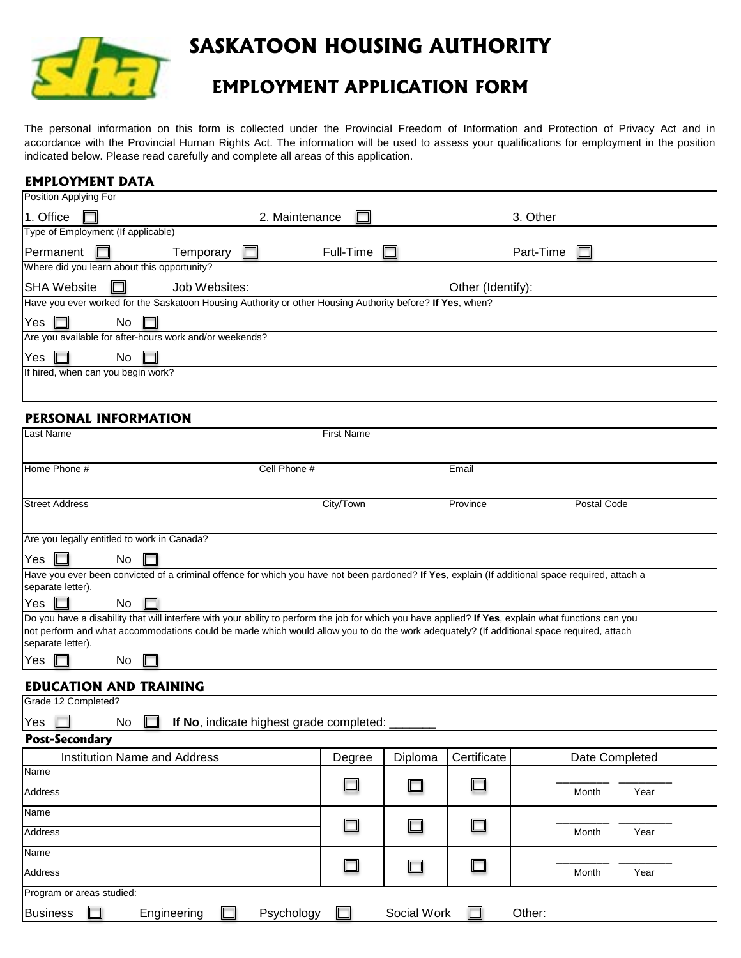

# **SASKATOON HOUSING AUTHORITY**

# **EMPLOYMENT APPLICATION FORM**

The personal information on this form is collected under the Provincial Freedom of Information and Protection of Privacy Act and in accordance with the Provincial Human Rights Act. The information will be used to assess your qualifications for employment in the position indicated below. Please read carefully and complete all areas of this application.

#### **EMPLOYMENT DATA**

|                                                                                                           |           | 3. Other          |  |  |  |
|-----------------------------------------------------------------------------------------------------------|-----------|-------------------|--|--|--|
| Type of Employment (If applicable)                                                                        |           |                   |  |  |  |
| Temporary<br>H                                                                                            | Full-Time | Part-Time         |  |  |  |
| Where did you learn about this opportunity?                                                               |           |                   |  |  |  |
| Job Websites:                                                                                             |           | Other (Identify): |  |  |  |
| Have you ever worked for the Saskatoon Housing Authority or other Housing Authority before? If Yes, when? |           |                   |  |  |  |
|                                                                                                           |           |                   |  |  |  |
| Are you available for after-hours work and/or weekends?                                                   |           |                   |  |  |  |
|                                                                                                           |           |                   |  |  |  |
| If hired, when can you begin work?                                                                        |           |                   |  |  |  |
|                                                                                                           |           |                   |  |  |  |
|                                                                                                           |           | 2. Maintenance    |  |  |  |

#### **PERSONAL INFORMATION**

| Last Name                                                                                                                                                                                                                                                                                                                   | <b>First Name</b> |             |             |                |  |  |  |
|-----------------------------------------------------------------------------------------------------------------------------------------------------------------------------------------------------------------------------------------------------------------------------------------------------------------------------|-------------------|-------------|-------------|----------------|--|--|--|
| Home Phone #<br>Cell Phone #                                                                                                                                                                                                                                                                                                |                   |             | Email       |                |  |  |  |
| <b>Street Address</b>                                                                                                                                                                                                                                                                                                       | City/Town         |             | Province    | Postal Code    |  |  |  |
| Are you legally entitled to work in Canada?                                                                                                                                                                                                                                                                                 |                   |             |             |                |  |  |  |
| No<br>Yes.                                                                                                                                                                                                                                                                                                                  |                   |             |             |                |  |  |  |
| Have you ever been convicted of a criminal offence for which you have not been pardoned? If Yes, explain (If additional space required, attach a<br>separate letter).                                                                                                                                                       |                   |             |             |                |  |  |  |
| Yes<br><b>No</b>                                                                                                                                                                                                                                                                                                            |                   |             |             |                |  |  |  |
| Do you have a disability that will interfere with your ability to perform the job for which you have applied? If Yes, explain what functions can you<br>not perform and what accommodations could be made which would allow you to do the work adequately? (If additional space required, attach<br>separate letter).<br>No |                   |             |             |                |  |  |  |
| Yes                                                                                                                                                                                                                                                                                                                         |                   |             |             |                |  |  |  |
| <b>EDUCATION AND TRAINING</b>                                                                                                                                                                                                                                                                                               |                   |             |             |                |  |  |  |
| Grade 12 Completed?                                                                                                                                                                                                                                                                                                         |                   |             |             |                |  |  |  |
| No<br>If No, indicate highest grade completed:<br>Yes                                                                                                                                                                                                                                                                       |                   |             |             |                |  |  |  |
| <b>Post-Secondary</b>                                                                                                                                                                                                                                                                                                       |                   |             |             |                |  |  |  |
| <b>Institution Name and Address</b>                                                                                                                                                                                                                                                                                         | Degree            | Diploma     | Certificate | Date Completed |  |  |  |
| Name<br>Address                                                                                                                                                                                                                                                                                                             |                   |             |             | Month<br>Year  |  |  |  |
| Name                                                                                                                                                                                                                                                                                                                        |                   |             |             |                |  |  |  |
| <b>Address</b>                                                                                                                                                                                                                                                                                                              |                   |             |             | Month<br>Year  |  |  |  |
| Name<br><b>Address</b>                                                                                                                                                                                                                                                                                                      |                   |             |             | Month<br>Year  |  |  |  |
| Program or areas studied:                                                                                                                                                                                                                                                                                                   |                   |             |             |                |  |  |  |
| <b>Business</b><br>Engineering<br>Psychology                                                                                                                                                                                                                                                                                |                   | Social Work |             | Other:         |  |  |  |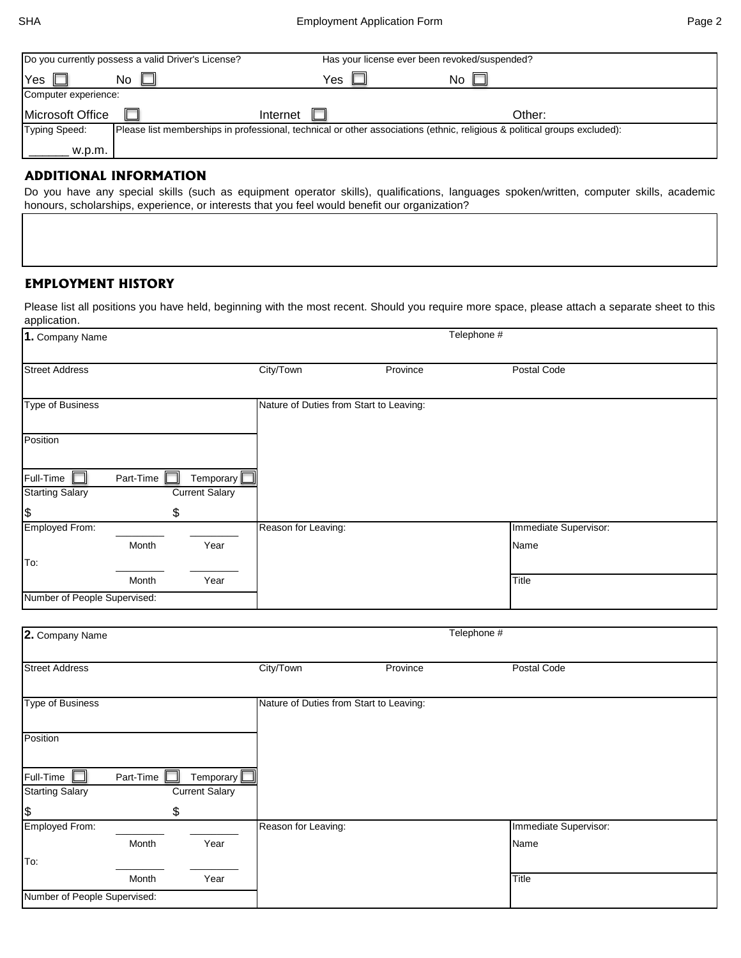|                      | Do you currently possess a valid Driver's License?                                                                        |          | Has your license ever been revoked/suspended? |    |        |
|----------------------|---------------------------------------------------------------------------------------------------------------------------|----------|-----------------------------------------------|----|--------|
| Yes                  | No.                                                                                                                       | Yes      |                                               | No |        |
| Computer experience: |                                                                                                                           |          |                                               |    |        |
| Microsoft Office     |                                                                                                                           | Internet |                                               |    | Other: |
| <b>Typing Speed:</b> | Please list memberships in professional, technical or other associations (ethnic, religious & political groups excluded): |          |                                               |    |        |
| w.p.m.               |                                                                                                                           |          |                                               |    |        |
|                      | ADDITIONAL INFORMATION                                                                                                    |          |                                               |    |        |

#### **ADDITIONAL INFORMATION**

Do you have any special skills (such as equipment operator skills), qualifications, languages spoken/written, computer skills, academic honours, scholarships, experience, or interests that you feel would benefit our organization?

#### **EMPLOYMENT HISTORY**

Please list all positions you have held, beginning with the most recent. Should you require more space, please attach a separate sheet to this application.

| 1. Company Name                         |           |                             | Telephone #         |                                         |             |                       |  |
|-----------------------------------------|-----------|-----------------------------|---------------------|-----------------------------------------|-------------|-----------------------|--|
| <b>Street Address</b>                   |           |                             | City/Town           | Province                                |             | Postal Code           |  |
| Type of Business                        |           |                             |                     | Nature of Duties from Start to Leaving: |             |                       |  |
| Position                                |           |                             |                     |                                         |             |                       |  |
| Full-Time                               | Part-Time | Temporary                   |                     |                                         |             |                       |  |
| <b>Starting Salary</b><br>$\frac{3}{2}$ |           | <b>Current Salary</b><br>\$ |                     |                                         |             |                       |  |
| Employed From:                          |           |                             | Reason for Leaving: |                                         |             | Immediate Supervisor: |  |
|                                         | Month     | Year                        |                     |                                         |             | Name                  |  |
| To:                                     |           |                             |                     |                                         |             |                       |  |
|                                         | Month     | Year                        |                     |                                         |             | Title                 |  |
| Number of People Supervised:            |           |                             |                     |                                         |             |                       |  |
|                                         |           |                             |                     |                                         |             |                       |  |
| 2. Company Name                         |           |                             |                     |                                         | Telephone # |                       |  |
|                                         |           |                             |                     |                                         |             |                       |  |

| <b>Street Address</b>        |           |                       | City/Town                               | Province | Postal Code           |
|------------------------------|-----------|-----------------------|-----------------------------------------|----------|-----------------------|
|                              |           |                       |                                         |          |                       |
| <b>Type of Business</b>      |           |                       | Nature of Duties from Start to Leaving: |          |                       |
|                              |           |                       |                                         |          |                       |
| Position                     |           |                       |                                         |          |                       |
|                              |           |                       |                                         |          |                       |
| Full-Time                    | Part-Time | Temporary $L$         |                                         |          |                       |
| <b>Starting Salary</b>       |           | <b>Current Salary</b> |                                         |          |                       |
| $\frac{1}{2}$                | \$        |                       |                                         |          |                       |
| Employed From:               |           |                       | Reason for Leaving:                     |          | Immediate Supervisor: |
|                              | Month     | Year                  |                                         |          | Name                  |
| To:                          |           |                       |                                         |          |                       |
|                              | Month     | Year                  |                                         |          | Title                 |
|                              |           |                       |                                         |          |                       |
| Number of People Supervised: |           |                       |                                         |          |                       |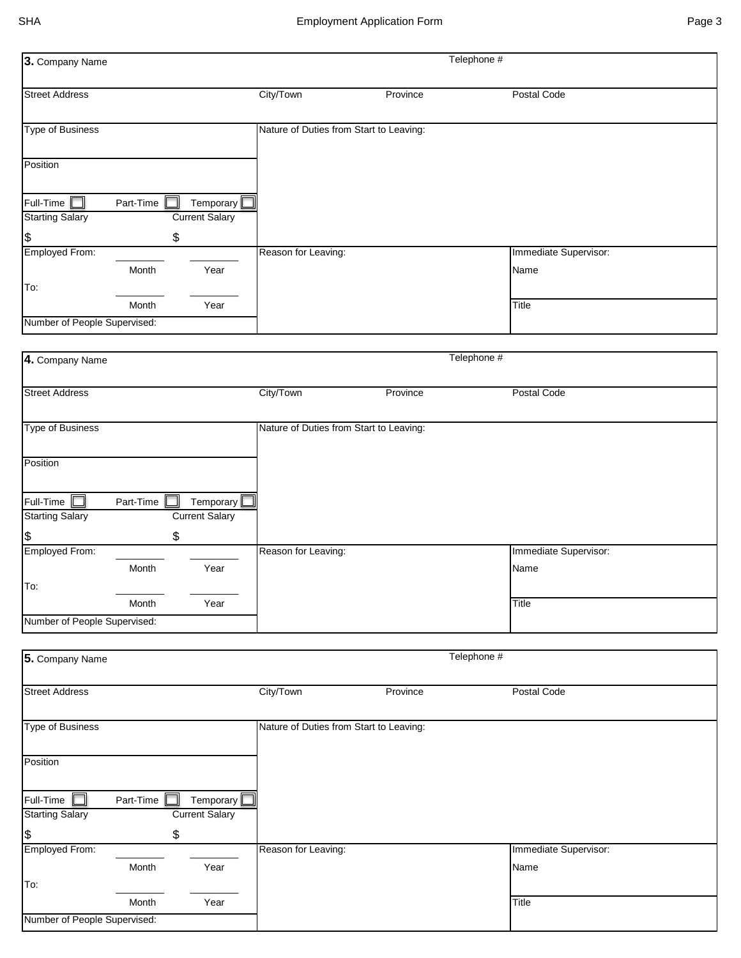| 3. Company Name                     |           |                                    |                                         |          | Telephone # |                       |
|-------------------------------------|-----------|------------------------------------|-----------------------------------------|----------|-------------|-----------------------|
| <b>Street Address</b>               |           |                                    | City/Town                               | Province |             | Postal Code           |
| <b>Type of Business</b>             |           |                                    | Nature of Duties from Start to Leaving: |          |             |                       |
| Position                            |           |                                    |                                         |          |             |                       |
|                                     |           |                                    |                                         |          |             |                       |
| Full-Time<br><b>Starting Salary</b> | Part-Time | Temporary<br><b>Current Salary</b> |                                         |          |             |                       |
| $\boldsymbol{\theta}$               |           | \$                                 |                                         |          |             |                       |
| Employed From:                      |           |                                    | Reason for Leaving:                     |          |             | Immediate Supervisor: |
| To:                                 | Month     | Year                               |                                         |          |             | Name                  |
|                                     | Month     | Year                               |                                         |          |             | Title                 |
| Number of People Supervised:        |           |                                    |                                         |          |             |                       |
|                                     |           |                                    |                                         |          |             |                       |
| 4. Company Name                     |           |                                    |                                         |          | Telephone # |                       |
|                                     |           |                                    |                                         |          |             |                       |
| <b>Street Address</b>               |           |                                    | City/Town                               | Province |             | Postal Code           |
| <b>Type of Business</b>             |           |                                    | Nature of Duties from Start to Leaving: |          |             |                       |
|                                     |           |                                    |                                         |          |             |                       |
| Position                            |           |                                    |                                         |          |             |                       |
| Full-Time                           | Part-Time | Temporary                          |                                         |          |             |                       |
| <b>Starting Salary</b>              |           | <b>Current Salary</b>              |                                         |          |             |                       |
| $\boldsymbol{\theta}$               |           | \$                                 |                                         |          |             |                       |
| Employed From:                      |           |                                    | Reason for Leaving:                     |          |             | Immediate Supervisor: |
| To:                                 | Month     | Year                               |                                         |          |             | Name                  |
|                                     | Month     | Year                               |                                         |          |             | Title                 |
| Number of People Supervised:        |           |                                    |                                         |          |             |                       |
|                                     |           |                                    |                                         |          |             |                       |
| 5. Company Name                     |           |                                    |                                         |          | Telephone # |                       |
| <b>Street Address</b>               |           |                                    | City/Town                               | Province |             | Postal Code           |
| <b>Type of Business</b>             |           |                                    | Nature of Duties from Start to Leaving: |          |             |                       |
| Position                            |           |                                    |                                         |          |             |                       |
| Full-Time                           | Part-Time | Temporary                          |                                         |          |             |                       |
| <b>Starting Salary</b>              |           | <b>Current Salary</b>              |                                         |          |             |                       |
|                                     |           | \$                                 |                                         |          |             |                       |
| \$<br>Employed From:                |           |                                    | Reason for Leaving:                     |          |             | Immediate Supervisor: |
|                                     | Month     | Year                               |                                         |          |             | Name                  |
| To:                                 |           |                                    |                                         |          |             |                       |
|                                     | Month     | Year                               |                                         |          |             | Title                 |
| Number of People Supervised:        |           |                                    |                                         |          |             |                       |